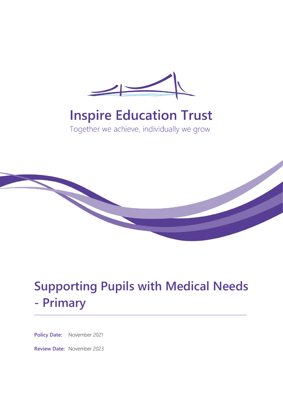

# **Inspire Education Trust**

Together we achieve, individually we grow



# **Supporting Pupils with Medical Needs - Primary**

**Policy Date:** November 2021

**Review Date:** November 2023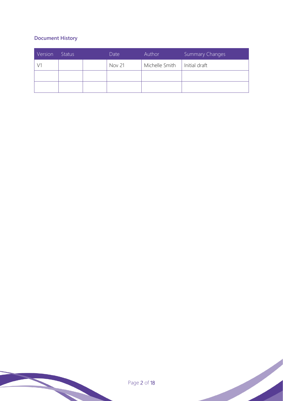# **Document History**

| Version | <b>Status</b> | Date          | Author         | <b>Summary Changes</b> |
|---------|---------------|---------------|----------------|------------------------|
|         |               | <b>Nov 21</b> | Michelle Smith | Initial draft          |
|         |               |               |                |                        |
|         |               |               |                |                        |

Page 2 of 18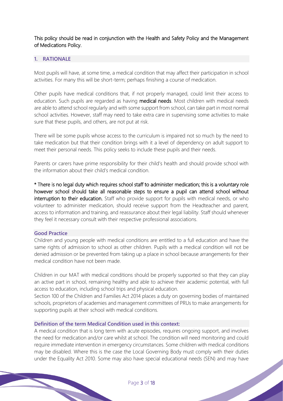This policy should be read in conjunction with the Health and Safety Policy and the Management of Medications Policy.

## **1. RATIONALE**

Most pupils will have, at some time, a medical condition that may affect their participation in school activities. For many this will be short-term; perhaps finishing a course of medication.

Other pupils have medical conditions that, if not properly managed, could limit their access to education. Such pupils are regarded as having medical needs. Most children with medical needs are able to attend school regularly and with some support from school, can take part in most normal school activities. However, staff may need to take extra care in supervising some activities to make sure that these pupils, and others, are not put at risk.

There will be some pupils whose access to the curriculum is impaired not so much by the need to take medication but that their condition brings with it a level of dependency on adult support to meet their personal needs. This policy seeks to include these pupils and their needs.

Parents or carers have prime responsibility for their child's health and should provide school with the information about their child's medical condition.

\* There is no legal duty which requires school staff to administer medication; this is a voluntary role however school should take all reasonable steps to ensure a pupil can attend school without interruption to their education. Staff who provide support for pupils with medical needs, or who volunteer to administer medication, should receive support from the Headteacher and parent, access to information and training, and reassurance about their legal liability. Staff should whenever they feel it necessary consult with their respective professional associations.

#### **Good Practice**

Children and young people with medical conditions are entitled to a full education and have the same rights of admission to school as other children. Pupils with a medical condition will not be denied admission or be prevented from taking up a place in school because arrangements for their medical condition have not been made.

Children in our MAT with medical conditions should be properly supported so that they can play an active part in school, remaining healthy and able to achieve their academic potential, with full access to education, including school trips and physical education.

Section 100 of the Children and Families Act 2014 places a duty on governing bodies of maintained schools, proprietors of academies and management committees of PRUs to make arrangements for supporting pupils at their school with medical conditions.

## **Definition of the term Medical Condition used in this context:**

A medical condition that is long term with acute episodes, requires ongoing support, and involves the need for medication and/or care whilst at school. The condition will need monitoring and could require immediate intervention in emergency circumstances. Some children with medical conditions may be disabled. Where this is the case the Local Governing Body must comply with their duties under the Equality Act 2010. Some may also have special educational needs (SEN) and may have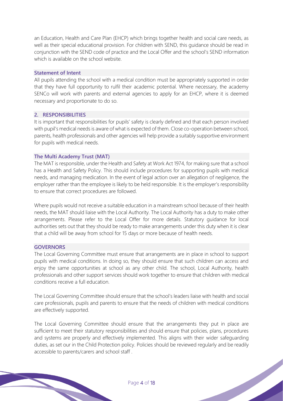an Education, Health and Care Plan (EHCP) which brings together health and social care needs, as well as their special educational provision. For children with SEND, this guidance should be read in conjunction with the SEND code of practice and the Local Offer and the school's SEND information which is available on the school website.

#### **Statement of Intent**

All pupils attending the school with a medical condition must be appropriately supported in order that they have full opportunity to rulfil their academic potential. Where necessary, the academy SENCo will work with parents and external agencies to apply for an EHCP, where it is deemed necessary and proportionate to do so.

#### **2. RESPONSIBILITIES**

It is important that responsibilities for pupils' safety is clearly defined and that each person involved with pupil's medical needs is aware of what is expected of them. Close co-operation between school, parents, health professionals and other agencies will help provide a suitably supportive environment for pupils with medical needs.

#### **The Multi Academy Trust (MAT)**

The MAT is responsible, under the Health and Safety at Work Act 1974, for making sure that a school has a Health and Safety Policy. This should include procedures for supporting pupils with medical needs, and managing medication. In the event of legal action over an allegation of negligence, the employer rather than the employee is likely to be held responsible. It is the employer's responsibility to ensure that correct procedures are followed.

Where pupils would not receive a suitable education in a mainstream school because of their health needs, the MAT should liaise with the Local Authority. The Local Authority has a duty to make other arrangements. Please refer to the Local Offer for more details. Statutory guidance for local authorities sets out that they should be ready to make arrangements under this duty when it is clear that a child will be away from school for 15 days or more because of health needs.

#### **GOVERNORS**

The Local Governing Committee must ensure that arrangements are in place in school to support pupils with medical conditions. In doing so, they should ensure that such children can access and enjoy the same opportunities at school as any other child. The school, Local Authority, health professionals and other support services should work together to ensure that children with medical conditions receive a full education.

The Local Governing Committee should ensure that the school's leaders liaise with health and social care professionals, pupils and parents to ensure that the needs of children with medical conditions are effectively supported.

The Local Governing Committee should ensure that the arrangements they put in place are sufficient to meet their statutory responsibilities and should ensure that policies, plans, procedures and systems are properly and effectively implemented. This aligns with their wider safeguarding duties, as set our in the Child Protection policy. Policies should be reviewed regularly and be readily accessible to parents/carers and school staff .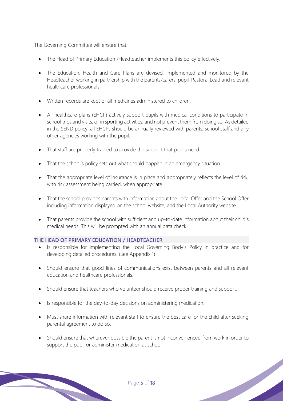The Governing Committee will ensure that:

- The Head of Primary Education / Headteacher implements this policy effectively.
- The Education, Health and Care Plans are devised, implemented and monitored by the Headteacher working in partnership with the parents/carers, pupil, Pastoral Lead and relevant healthcare professionals.
- Written records are kept of all medicines administered to children.
- All healthcare plans (EHCP) actively support pupils with medical conditions to participate in school trips and visits, or in sporting activities, and not prevent them from doing so. As detailed in the SEND policy, all EHCPs should be annually reviewed with parents, school staff and any other agencies working with the pupil.
- That staff are properly trained to provide the support that pupils need.
- That the school's policy sets out what should happen in an emergency situation.
- That the appropriate level of insurance is in place and appropriately reflects the level of risk, with risk assessment being carried, when appropriate.
- That the school provides parents with information about the Local Offer and the School Offer including information displayed on the school website, and the Local Authority website.
- That parents provide the school with sufficient and up-to-date information about their child's medical needs. This will be prompted with an annual data check.

# **THE HEAD OF PRIMARY EDUCATION / HEADTEACHER**

- Is responsible for implementing the Local Governing Body's Policy in practice and for developing detailed procedures. (See Appendix 1)
- Should ensure that good lines of communications exist between parents and all relevant education and healthcare professionals.
- Should ensure that teachers who volunteer should receive proper training and support.
- Is responsible for the day-to-day decisions on administering medication.
- Must share information with relevant staff to ensure the best care for the child after seeking parental agreement to do so.
- Should ensure that wherever possible the parent is not inconvenienced from work in order to support the pupil or administer medication at school.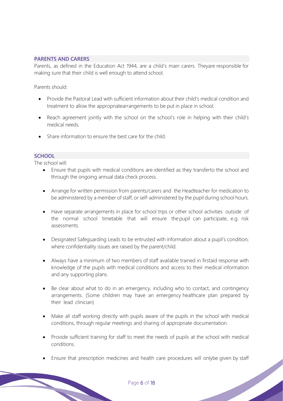### **PARENTS AND CARERS**

Parents, as defined in the Education Act 1944, are a child's main carers. Theyare responsible for making sure that their child is well enough to attend school.

Parents should:

- Provide the Pastoral Lead with sufficient information about their child's medical condition and treatment to allow the appropriatearrangements to be put in place in school.
- Reach agreement jointly with the school on the school's role in helping with their child's medical needs.
- Share information to ensure the best care for the child.

### **SCHOOL**

The school will:

- Ensure that pupils with medical conditions are identified as they transferto the school and through the ongoing annual data check process.
- Arrange for written permission from parents/carers and the Headteacher for medication to be administered by a member of staff, or self-administered by the pupil during school hours.
- Have separate arrangements in place for school trips or other school activities outside of the normal school timetable that will ensure the pupil can participate, e.g. risk assessments.
- Designated Safeguarding Leads to be entrusted with information about a pupil's condition; where confidentiality issues are raised by the parent/child.
- Always have a minimum of two members of staff available trained in firstaid response with knowledge of the pupils with medical conditions and access to their medical information and any supporting plans.
- Be clear about what to do in an emergency, including who to contact, and contingency arrangements. (Some children may have an emergency healthcare plan prepared by their lead clinician)
- Make all staff working directly with pupils aware of the pupils in the school with medical conditions, through regular meetings and sharing of appropriate documentation.
- Provide sufficient training for staff to meet the needs of pupils at the school with medical conditions.
- Ensure that prescription medicines and health care procedures will onlybe given by staff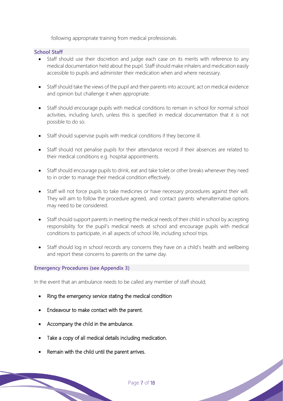following appropriate training from medical professionals.

### **School Staff**

- Staff should use their discretion and judge each case on its merits with reference to any medical documentation held about the pupil. Staff should make inhalers and medication easily accessible to pupils and administer their medication when and where necessary.
- Staff should take the views of the pupil and their parents into account; act on medical evidence and opinion but challenge it when appropriate.
- Staff should encourage pupils with medical conditions to remain in school for normal school activities, including lunch, unless this is specified in medical documentation that it is not possible to do so.
- Staff should supervise pupils with medical conditions if they become ill.
- Staff should not penalise pupils for their attendance record if their absences are related to their medical conditions e.g. hospital appointments.
- Staff should encourage pupils to drink, eat and take toilet or other breaks whenever they need to in order to manage their medical condition effectively.
- Staff will not force pupils to take medicines or have necessary procedures against their will. They will aim to follow the procedure agreed, and contact parents whenalternative options may need to be considered.
- Staff should support parents in meeting the medical needs of their child in school by accepting responsibility for the pupil's medical needs at school and encourage pupils with medical conditions to participate, in all aspects of school life, including school trips.
- Staff should log in school records any concerns they have on a child's health and wellbeing and report these concerns to parents on the same day.

### **Emergency Procedures (see Appendix 3)**

In the event that an ambulance needs to be called any member of staff should;

- Ring the emergency service stating the medical condition
- Endeavour to make contact with the parent.
- Accompany the child in the ambulance.
- Take a copy of all medical details including medication.
- Remain with the child until the parent arrives.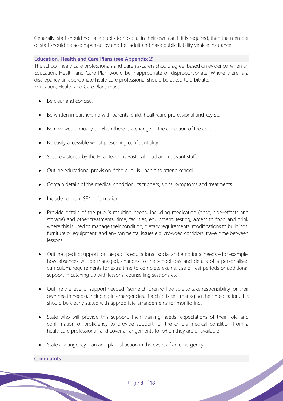Generally, staff should not take pupils to hospital in their own car. If it is required, then the member of staff should be accompanied by another adult and have public liability vehicle insurance.

#### **Education, Health and Care Plans (see Appendix 2)**

The school, healthcare professionals and parents/carers should agree, based on evidence, when an Education, Health and Care Plan would be inappropriate or disproportionate. Where there is a discrepancy an appropriate healthcare professional should be asked to arbitrate. Education, Health and Care Plans must:

- Be clear and concise.
- Be written in partnership with parents, child, healthcare professional and key staff
- Be reviewed annually or when there is a change in the condition of the child.
- Be easily accessible whilst preserving confidentiality.
- Securely stored by the Headteacher, Pastoral Lead and relevant staff.
- Outline educational provision if the pupil is unable to attend school.
- Contain details of the medical condition, its triggers, signs, symptoms and treatments.
- Include relevant SEN information.
- Provide details of the pupil's resulting needs, including medication (dose, side-effects and storage) and other treatments, time, facilities, equipment, testing, access to food and drink where this is used to manage their condition, dietary requirements, modifications to buildings, furniture or equipment, and environmental issues e.g. crowded corridors, travel time between lessons.
- Outline specific support for the pupil's educational, social and emotional needs for example, how absences will be managed, changes to the school day and details of a personalised curriculum, requirements for extra time to complete exams, use of rest periods or additional support in catching up with lessons, counselling sessions etc.
- Outline the level of support needed, (some children will be able to take responsibility for their own health needs), including in emergencies. If a child is self-managing their medication, this should be clearly stated with appropriate arrangements for monitoring.
- State who will provide this support, their training needs, expectations of their role and confirmation of proficiency to provide support for the child's medical condition from a healthcare professional; and cover arrangements for when they are unavailable.
- State contingency plan and plan of action in the event of an emergency.

# **Complaints**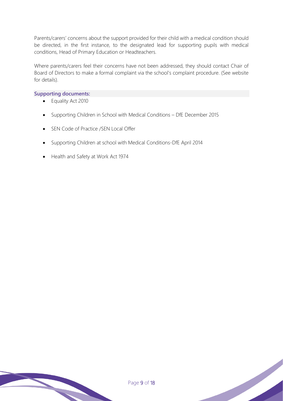Parents/carers' concerns about the support provided for their child with a medical condition should be directed, in the first instance, to the designated lead for supporting pupils with medical conditions, Head of Primary Education or Headteachers.

Where parents/carers feel their concerns have not been addressed, they should contact Chair of Board of Directors to make a formal complaint via the school's complaint procedure. (See website for details).

#### **Supporting documents:**

- Equality Act 2010
- Supporting Children in School with Medical Conditions DfE December 2015
- SEN Code of Practice /SEN Local Offer
- Supporting Children at school with Medical Conditions-DfE April 2014
- Health and Safety at Work Act 1974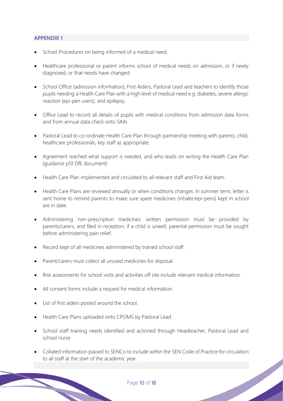# **APPENDIX 1**

- School Procedures on being informed of a medical need;
- Healthcare professional or parent informs school of medical needs on admission, or if newly diagnosed, or that needs have changed.
- School Office (admission information), First Aiders, Pastoral Lead and teachers to identify those pupils needing a Health Care Plan with a high level of medical need e.g. diabetes, severe allergic reaction (epi-pen users), and epilepsy.
- Office Lead to record all details of pupils with medical conditions from admission data forms and from annual data check onto SIMs.
- Pastoral Lead to co-ordinate Health Care Plan through partnership meeting with parents, child, healthcare professionals, key staff as appropriate.
- Agreement reached what support is needed, and who leads on writing the Health Care Plan (guidance p10 DfE document)
- Health Care Plan implemented and circulated to all relevant staff and First Aid team.
- Health Care Plans are reviewed annually or when conditions changes. In summer term, letter is sent home to remind parents to make sure spare medicines (inhaler/epi-pens) kept in school are in date.
- Administering non-prescription medicines: written permission must be provided by parents/carers, and filed in reception; if a child is unwell, parental permission must be sought before administering pain relief.
- Record kept of all medicines administered by trained school staff.
- Parent/carers must collect all unused medicines for disposal.
- Risk assessments for school visits and activities off site include relevant medical information.
- All consent forms include a request for medical information.
- List of first aiders posted around the school.
- Health Care Plans uploaded onto CPOMS by Pastoral Lead.
- School staff training needs identified and actioned through Headteacher, Pastoral Lead and school nurse
- Collated information passed to SENCo to include within the SEN Code of Practice for circulation to all staff at the start of the academic year.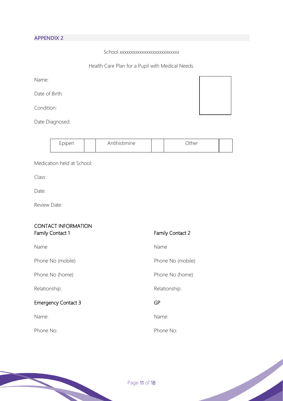# **APPENDIX 2**

School xxxxxxxxxxxxxxxxxxxxxxxxxxx

Health Care Plan for a Pupil with Medical Needs.

| Name:          |  |  |
|----------------|--|--|
| Date of Birth: |  |  |

Condition:

Date Diagnosed:

| Epipen | ntihistimine | )ther |  |
|--------|--------------|-------|--|
|        |              |       |  |

Medication held at School:

Class:

Date:

Review Date:

| <b>CONTACT INFORMATION</b><br><b>Family Contact 1</b> | <b>Family Contact 2</b> |
|-------------------------------------------------------|-------------------------|
| Name                                                  | Name                    |
| Phone No (mobile)                                     | Phone No (mobile)       |
| Phone No (home)                                       | Phone No (home)         |
| Relationship:                                         | Relationship:           |
| <b>Emergency Contact 3</b>                            | GP                      |
| Name:                                                 | Name:                   |
| Phone No:                                             | Phone No:               |



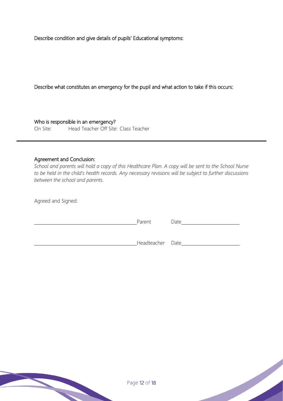Describe condition and give details of pupils' Educational symptoms:

Describe what constitutes an emergency for the pupil and what action to take if this occurs:

Who is responsible in an emergency? On Site: Head Teacher Off Site: Class Teacher

#### Agreement and Conclusion:

*School and parents will hold a copy of this Healthcare Plan. A copy will be sent to the School Nurse to be held in the child's health records. Any necessary revisions will be subject to further discussions between the school and parents.*

Agreed and Signed:

| Parent           | Date |
|------------------|------|
|                  |      |
| Headteacher Date |      |

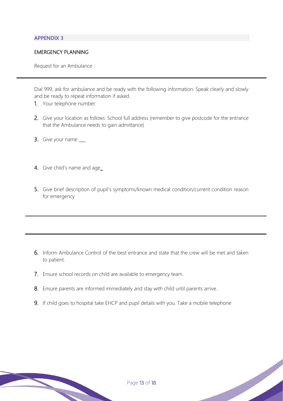# **APPENDIX 3**

# EMERGENCY PLANNING

Request for an Ambulance :

Dial 999, ask for ambulance and be ready with the following information. Speak clearly and slowly and be ready to repeat information if asked.

- 1. Your telephone number:
- 2. Give your location as follows: School full address (remember to give postcode for the entrance that the Ambulance needs to gain admittance)
- 3. Give your name \_\_\_
- 4. Give child's name and age\_
- 5. Give brief description of pupil's symptoms/known medical condition/current condition reason for emergency

- 6. Inform Ambulance Control of the best entrance and state that the crew will be met and taken to patient.
- 7. Ensure school records on child are available to emergency team.
- 8. Ensure parents are informed immediately and stay with child until parents arrive.
- 9. If child goes to hospital take EHCP and pupil details with you. Take a mobile telephone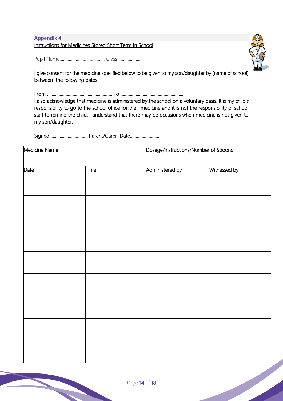# **Appendix 4**

Instructions for Medicines Stored Short Term In School

Pupil Name………………………………… Class………………..



I give consent for the medicine specified below to be given to my son/daughter by (name of school) between the following dates:-

From ……………………………………………….. To ………………………………………………..

I also acknowledge that medicine is administered by the school on a voluntary basis. It is my child's responsibility to go to the school office for their medicine and it is not the responsibility of school staff to remind the child. I understand that there may be occasions when medicine is not given to my son/daughter.

Signed…………………………… Parent/Carer Date…………………….

| Medicine Name |      | Dosage/Instructions/Number of Spoons |              |  |
|---------------|------|--------------------------------------|--------------|--|
| Date          | Time | Administered by                      | Witnessed by |  |
|               |      |                                      |              |  |
|               |      |                                      |              |  |
|               |      |                                      |              |  |
|               |      |                                      |              |  |
|               |      |                                      |              |  |
|               |      |                                      |              |  |
|               |      |                                      |              |  |
|               |      |                                      |              |  |
|               |      |                                      |              |  |
|               |      |                                      |              |  |
|               |      |                                      |              |  |
|               |      |                                      |              |  |
|               |      |                                      |              |  |
|               |      |                                      |              |  |
|               |      |                                      |              |  |
|               |      |                                      |              |  |
|               |      |                                      |              |  |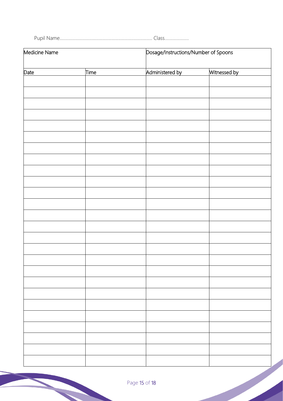Pupil Name................................................................................ Class.....................

| Medicine Name |      | Dosage/Instructions/Number of Spoons |              |  |
|---------------|------|--------------------------------------|--------------|--|
| Date          | Time | Administered by                      | Witnessed by |  |
|               |      |                                      |              |  |
|               |      |                                      |              |  |
|               |      |                                      |              |  |
|               |      |                                      |              |  |
|               |      |                                      |              |  |
|               |      |                                      |              |  |
|               |      |                                      |              |  |
|               |      |                                      |              |  |
|               |      |                                      |              |  |
|               |      |                                      |              |  |
|               |      |                                      |              |  |
|               |      |                                      |              |  |
|               |      |                                      |              |  |
|               |      |                                      |              |  |
|               |      |                                      |              |  |
|               |      |                                      |              |  |
|               |      |                                      |              |  |
|               |      |                                      |              |  |
|               |      |                                      |              |  |
|               |      |                                      |              |  |
|               |      |                                      |              |  |
|               |      |                                      |              |  |
|               |      |                                      |              |  |
|               |      |                                      |              |  |
|               |      |                                      |              |  |
|               |      |                                      |              |  |
|               |      |                                      |              |  |
|               |      |                                      |              |  |
|               |      |                                      |              |  |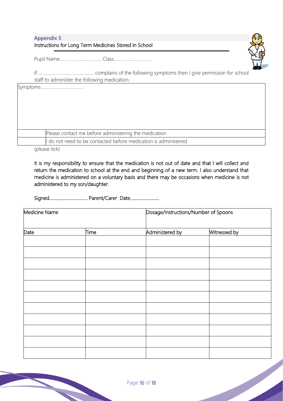| <b>Appendix 5</b>                                     |
|-------------------------------------------------------|
| Instructions for Long Term Medicines Stored In School |



Pupil Name……………………………… Class……………………………

If ………………………………………… complains of the following symptoms then I give permission for school staff to administer the following medication.

| Please contact me before administering the medication         |  |
|---------------------------------------------------------------|--|
| do not need to be contacted before medication is administered |  |

(please tick)

It is my responsibility to ensure that the medication is not out of date and that I will collect and return the medication to school at the end and beginning of a new term. I also understand that medicine is administered on a voluntary basis and there may be occasions when medicine is not administered to my son/daughter.

Signed…………………………… Parent/Carer Date…………………….

| Medicine Name |             | Dosage/Instructions/Number of Spoons |              |  |
|---------------|-------------|--------------------------------------|--------------|--|
| Date          | <b>Time</b> | Administered by                      | Witnessed by |  |
|               |             |                                      |              |  |
|               |             |                                      |              |  |
|               |             |                                      |              |  |
|               |             |                                      |              |  |
|               |             |                                      |              |  |
|               |             |                                      |              |  |
|               |             |                                      |              |  |
|               |             |                                      |              |  |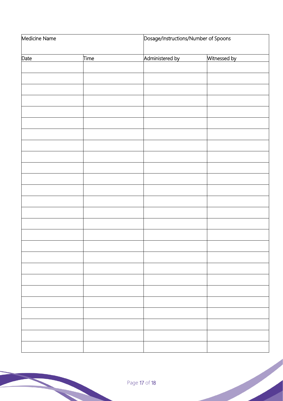| Medicine Name |      | Dosage/Instructions/Number of Spoons |              |  |
|---------------|------|--------------------------------------|--------------|--|
| Date          | Time | Administered by                      | Witnessed by |  |
|               |      |                                      |              |  |
|               |      |                                      |              |  |
|               |      |                                      |              |  |
|               |      |                                      |              |  |
|               |      |                                      |              |  |
|               |      |                                      |              |  |
|               |      |                                      |              |  |
|               |      |                                      |              |  |
|               |      |                                      |              |  |
|               |      |                                      |              |  |
|               |      |                                      |              |  |
|               |      |                                      |              |  |
|               |      |                                      |              |  |
|               |      |                                      |              |  |
|               |      |                                      |              |  |
|               |      |                                      |              |  |
|               |      |                                      |              |  |
|               |      |                                      |              |  |
|               |      |                                      |              |  |
|               |      |                                      |              |  |
|               |      |                                      |              |  |
|               |      |                                      |              |  |
|               |      |                                      |              |  |
|               |      |                                      |              |  |
|               |      |                                      |              |  |
|               |      |                                      |              |  |